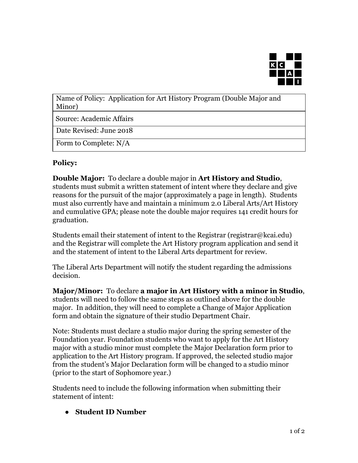

Name of Policy: Application for Art History Program (Double Major and Minor)

Source: Academic Affairs

Date Revised: June 2018

Form to Complete: N/A

## **Policy:**

**Double Major:** To declare a double major in **Art History and Studio**, students must submit a written statement of intent where they declare and give reasons for the pursuit of the major (approximately a page in length). Students must also currently have and maintain a minimum 2.0 Liberal Arts/Art History and cumulative GPA; please note the double major requires 141 credit hours for graduation.

Students email their statement of intent to the Registrar (registrar@kcai.edu) and the Registrar will complete the Art History program application and send it and the statement of intent to the Liberal Arts department for review.

The Liberal Arts Department will notify the student regarding the admissions decision.

**Major/Minor:** To declare **a major in Art History with a minor in Studio**, students will need to follow the same steps as outlined above for the double major. In addition, they will need to complete a Change of Major Application form and obtain the signature of their studio Department Chair.

Note: Students must declare a studio major during the spring semester of the Foundation year. Foundation students who want to apply for the Art History major with a studio minor must complete the Major Declaration form prior to application to the Art History program. If approved, the selected studio major from the student's Major Declaration form will be changed to a studio minor (prior to the start of Sophomore year.)

Students need to include the following information when submitting their statement of intent:

**● Student ID Number**